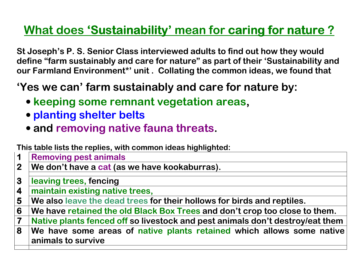# <u>What does 'Sustainability' mean for caring for nature ?</u>

St Joseph's P. S. Senior Class interviewed adults to find out how they would define "farm sustainably and care for nature" as part of their 'Sustainability and our Farmland Environment\*' unit. Collating the common ideas, we found that

## 'Yes we can' farm sustainably and care for nature by:

- keeping some remnant vegetation areas,
- planting shelter belts
- and removing native fauna threats.

## This table lists the replies, with common ideas highlighted:

- 11 Removing pest animals<br>2 We don't have a cat (as
- We don't have a cat (as we have kookaburras).
- 3leaving trees, fencing
- 44 Imaintain existing native trees,<br>5 We also leave the dead trees f
- 5 We also leave the dead trees for their hollows for birds and reptiles.
- 6 We have retained the old Black Box Trees and don't crop too close to them.
- 7T Native plants fenced off so livestock and pest animals don't destroy/eat them<br>8 We have some areas of native plants retained which allows some native

8 |We have some areas of native plants retained which allows some native animals to survive